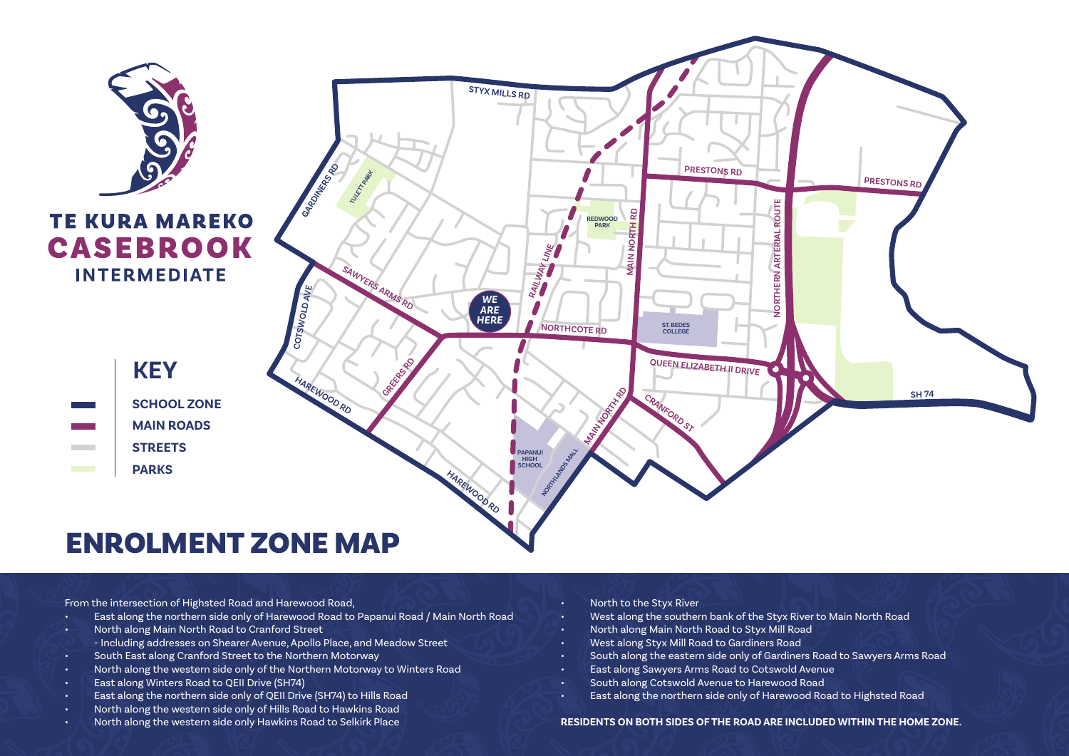

From the intersection of Highsted Road and Harewood Road,

- East along the northern side only of Harewood Road to Papanui Road / Main North Road
- North along Main North Road to Cranford Street
- Including addresses on Shearer Avenue, Apollo Place, and Meadow Street
- South East along Cranford Street to the Northern Motorway
- North along the western side only of the Northern Motorway to Winters Road
- East along Winters Road to QEII Drive (SH74)
- East along the northern side only of QEII Drive (SH74) to Hills Road
- North along the western side only of Hills Road to Hawkins Road
- North along the western side only Hawkins Road to Selkirk Place
- North to the Styx River
- West along the southern bank of the Styx River to Main North Road
- North along Main North Road to Styx Mill Road
- West along Styx Mill Road to Gardiners Road
- South along the eastern side only of Gardiners Road to Sawyers Arms Road
- East along Sawyers Arms Road to Cotswold Avenue
- South along Cotswold Avenue to Harewood Road
- East along the northern side only of Harewood Road to Highsted Road

## **RESIDENTS ON BOTH SIDES OF THE ROAD ARE INCLUDED WITHIN THE HOME ZONE.**